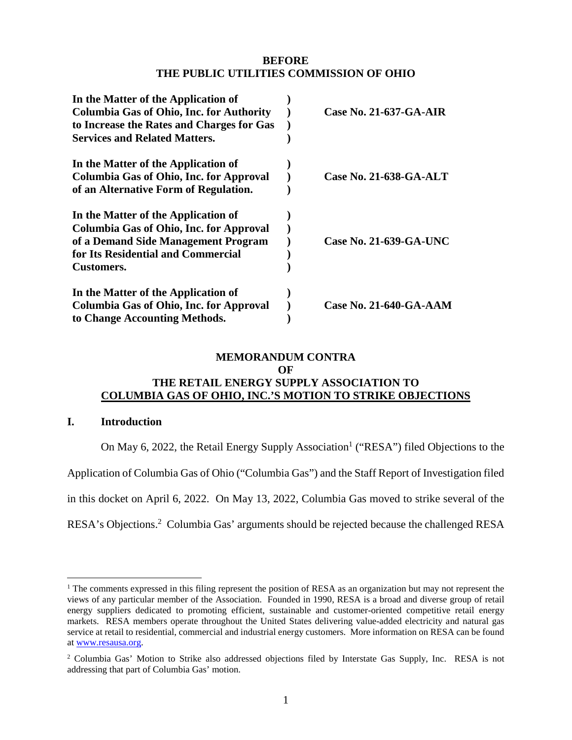### **BEFORE THE PUBLIC UTILITIES COMMISSION OF OHIO**

| In the Matter of the Application of             |                               |
|-------------------------------------------------|-------------------------------|
| <b>Columbia Gas of Ohio, Inc. for Authority</b> | Case No. $21-637-GA-AIR$      |
| to Increase the Rates and Charges for Gas       |                               |
| <b>Services and Related Matters.</b>            |                               |
| In the Matter of the Application of             |                               |
| Columbia Gas of Ohio, Inc. for Approval         | <b>Case No. 21-638-GA-ALT</b> |
| of an Alternative Form of Regulation.           |                               |
| In the Matter of the Application of             |                               |
| Columbia Gas of Ohio, Inc. for Approval         |                               |
| of a Demand Side Management Program             | <b>Case No. 21-639-GA-UNC</b> |
| for Its Residential and Commercial              |                               |
| Customers.                                      |                               |
| In the Matter of the Application of             |                               |
| Columbia Gas of Ohio, Inc. for Approval         | <b>Case No. 21-640-GA-AAM</b> |
| to Change Accounting Methods.                   |                               |

# **MEMORANDUM CONTRA**

#### **OF**

### **THE RETAIL ENERGY SUPPLY ASSOCIATION TO COLUMBIA GAS OF OHIO, INC.'S MOTION TO STRIKE OBJECTIONS**

#### **I. Introduction**

On May 6, 2022, the Retail Energy Supply Association<sup>1</sup> ("RESA") filed Objections to the

Application of Columbia Gas of Ohio ("Columbia Gas") and the Staff Report of Investigation filed

in this docket on April 6, 2022. On May 13, 2022, Columbia Gas moved to strike several of the

RESA's Objections.<sup>2</sup> Columbia Gas' arguments should be rejected because the challenged RESA

<sup>&</sup>lt;sup>1</sup> The comments expressed in this filing represent the position of RESA as an organization but may not represent the views of any particular member of the Association. Founded in 1990, RESA is a broad and diverse group of retail energy suppliers dedicated to promoting efficient, sustainable and customer-oriented competitive retail energy markets. RESA members operate throughout the United States delivering value-added electricity and natural gas service at retail to residential, commercial and industrial energy customers. More information on RESA can be found at www.resausa.org.

<sup>2</sup> Columbia Gas' Motion to Strike also addressed objections filed by Interstate Gas Supply, Inc. RESA is not addressing that part of Columbia Gas' motion.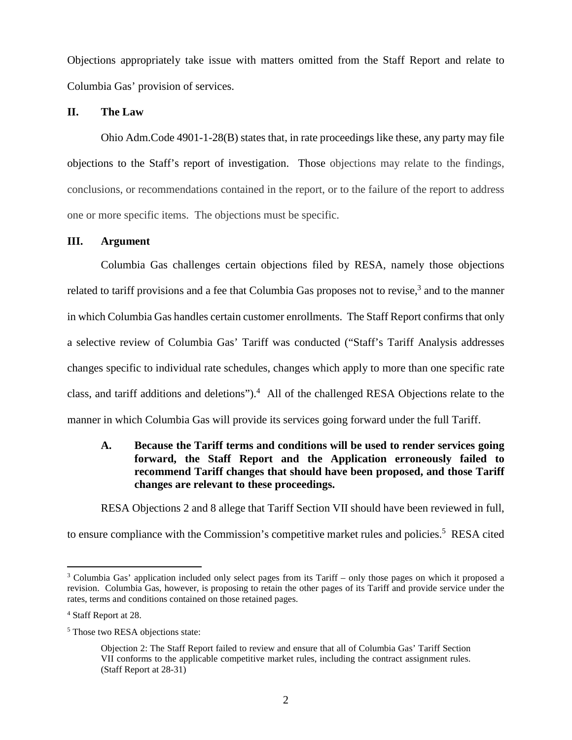Objections appropriately take issue with matters omitted from the Staff Report and relate to Columbia Gas' provision of services.

#### **II. The Law**

Ohio Adm.Code 4901-1-28(B) states that, in rate proceedings like these, any party may file objections to the Staff's report of investigation. Those objections may relate to the findings, conclusions, or recommendations contained in the report, or to the failure of the report to address one or more specific items. The objections must be specific.

#### **III. Argument**

Columbia Gas challenges certain objections filed by RESA, namely those objections related to tariff provisions and a fee that Columbia Gas proposes not to revise,<sup>3</sup> and to the manner in which Columbia Gas handles certain customer enrollments. The Staff Report confirms that only a selective review of Columbia Gas' Tariff was conducted ("Staff's Tariff Analysis addresses changes specific to individual rate schedules, changes which apply to more than one specific rate class, and tariff additions and deletions").<sup>4</sup> All of the challenged RESA Objections relate to the manner in which Columbia Gas will provide its services going forward under the full Tariff.

### **A. Because the Tariff terms and conditions will be used to render services going forward, the Staff Report and the Application erroneously failed to recommend Tariff changes that should have been proposed, and those Tariff changes are relevant to these proceedings.**

RESA Objections 2 and 8 allege that Tariff Section VII should have been reviewed in full,

to ensure compliance with the Commission's competitive market rules and policies.<sup>5</sup> RESA cited

<sup>3</sup> Columbia Gas' application included only select pages from its Tariff – only those pages on which it proposed a revision. Columbia Gas, however, is proposing to retain the other pages of its Tariff and provide service under the rates, terms and conditions contained on those retained pages.

<sup>4</sup> Staff Report at 28.

<sup>&</sup>lt;sup>5</sup> Those two RESA objections state:

Objection 2: The Staff Report failed to review and ensure that all of Columbia Gas' Tariff Section VII conforms to the applicable competitive market rules, including the contract assignment rules. (Staff Report at 28-31)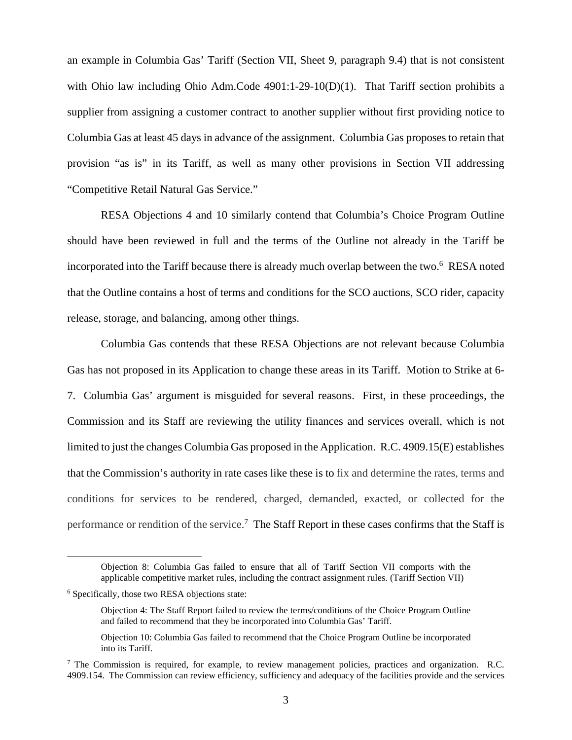an example in Columbia Gas' Tariff (Section VII, Sheet 9, paragraph 9.4) that is not consistent with Ohio law including Ohio Adm.Code 4901:1-29-10(D)(1). That Tariff section prohibits a supplier from assigning a customer contract to another supplier without first providing notice to Columbia Gas at least 45 days in advance of the assignment. Columbia Gas proposes to retain that provision "as is" in its Tariff, as well as many other provisions in Section VII addressing "Competitive Retail Natural Gas Service."

RESA Objections 4 and 10 similarly contend that Columbia's Choice Program Outline should have been reviewed in full and the terms of the Outline not already in the Tariff be incorporated into the Tariff because there is already much overlap between the two.<sup>6</sup> RESA noted that the Outline contains a host of terms and conditions for the SCO auctions, SCO rider, capacity release, storage, and balancing, among other things.

Columbia Gas contends that these RESA Objections are not relevant because Columbia Gas has not proposed in its Application to change these areas in its Tariff. Motion to Strike at 6- 7. Columbia Gas' argument is misguided for several reasons. First, in these proceedings, the Commission and its Staff are reviewing the utility finances and services overall, which is not limited to just the changes Columbia Gas proposed in the Application. R.C. 4909.15(E) establishes that the Commission's authority in rate cases like these is to fix and determine the rates, terms and conditions for services to be rendered, charged, demanded, exacted, or collected for the performance or rendition of the service.<sup>7</sup> The Staff Report in these cases confirms that the Staff is

Objection 8: Columbia Gas failed to ensure that all of Tariff Section VII comports with the applicable competitive market rules, including the contract assignment rules. (Tariff Section VII)

<sup>6</sup> Specifically, those two RESA objections state:

Objection 4: The Staff Report failed to review the terms/conditions of the Choice Program Outline and failed to recommend that they be incorporated into Columbia Gas' Tariff.

Objection 10: Columbia Gas failed to recommend that the Choice Program Outline be incorporated into its Tariff.

<sup>&</sup>lt;sup>7</sup> The Commission is required, for example, to review management policies, practices and organization. R.C. 4909.154. The Commission can review efficiency, sufficiency and adequacy of the facilities provide and the services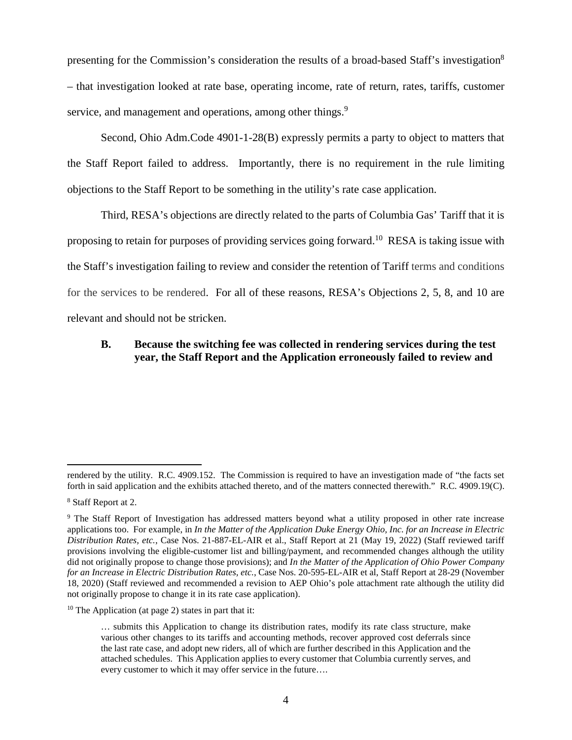presenting for the Commission's consideration the results of a broad-based Staff's investigation<sup>8</sup> – that investigation looked at rate base, operating income, rate of return, rates, tariffs, customer service, and management and operations, among other things.<sup>9</sup>

Second, Ohio Adm.Code 4901-1-28(B) expressly permits a party to object to matters that the Staff Report failed to address. Importantly, there is no requirement in the rule limiting objections to the Staff Report to be something in the utility's rate case application.

Third, RESA's objections are directly related to the parts of Columbia Gas' Tariff that it is proposing to retain for purposes of providing services going forward.<sup>10</sup> RESA is taking issue with the Staff's investigation failing to review and consider the retention of Tariff terms and conditions for the services to be rendered. For all of these reasons, RESA's Objections 2, 5, 8, and 10 are relevant and should not be stricken.

### **B. Because the switching fee was collected in rendering services during the test year, the Staff Report and the Application erroneously failed to review and**

rendered by the utility. R.C. 4909.152. The Commission is required to have an investigation made of "the facts set forth in said application and the exhibits attached thereto, and of the matters connected therewith." R.C. 4909.19(C).

<sup>8</sup> Staff Report at 2.

<sup>9</sup> The Staff Report of Investigation has addressed matters beyond what a utility proposed in other rate increase applications too. For example, in *In the Matter of the Application Duke Energy Ohio, Inc. for an Increase in Electric Distribution Rates, etc.*, Case Nos. 21-887-EL-AIR et al., Staff Report at 21 (May 19, 2022) (Staff reviewed tariff provisions involving the eligible-customer list and billing/payment, and recommended changes although the utility did not originally propose to change those provisions); and *In the Matter of the Application of Ohio Power Company for an Increase in Electric Distribution Rates, etc.*, Case Nos. 20-595-EL-AIR et al, Staff Report at 28-29 (November 18, 2020) (Staff reviewed and recommended a revision to AEP Ohio's pole attachment rate although the utility did not originally propose to change it in its rate case application).

 $10$  The Application (at page 2) states in part that it:

<sup>…</sup> submits this Application to change its distribution rates, modify its rate class structure, make various other changes to its tariffs and accounting methods, recover approved cost deferrals since the last rate case, and adopt new riders, all of which are further described in this Application and the attached schedules. This Application applies to every customer that Columbia currently serves, and every customer to which it may offer service in the future….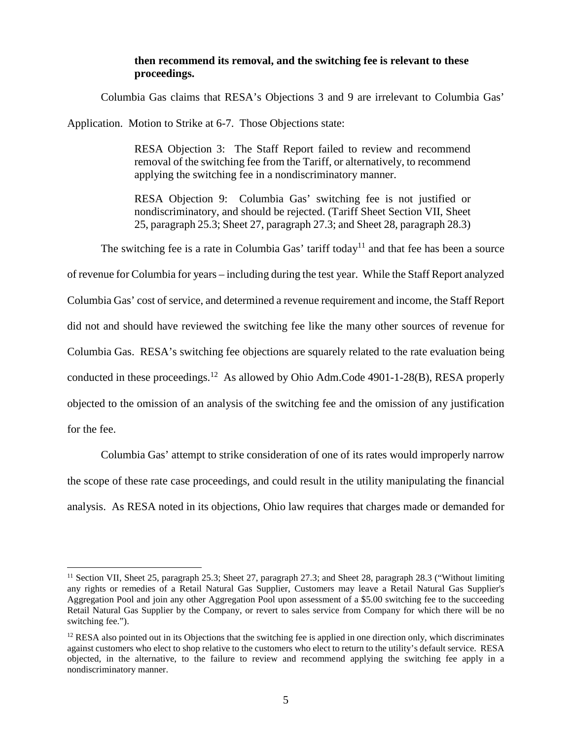#### **then recommend its removal, and the switching fee is relevant to these proceedings.**

Columbia Gas claims that RESA's Objections 3 and 9 are irrelevant to Columbia Gas'

Application. Motion to Strike at 6-7. Those Objections state:

RESA Objection 3: The Staff Report failed to review and recommend removal of the switching fee from the Tariff, or alternatively, to recommend applying the switching fee in a nondiscriminatory manner.

RESA Objection 9: Columbia Gas' switching fee is not justified or nondiscriminatory, and should be rejected. (Tariff Sheet Section VII, Sheet 25, paragraph 25.3; Sheet 27, paragraph 27.3; and Sheet 28, paragraph 28.3)

The switching fee is a rate in Columbia Gas' tariff today<sup>11</sup> and that fee has been a source

of revenue for Columbia for years – including during the test year. While the Staff Report analyzed Columbia Gas' cost of service, and determined a revenue requirement and income, the Staff Report did not and should have reviewed the switching fee like the many other sources of revenue for Columbia Gas. RESA's switching fee objections are squarely related to the rate evaluation being conducted in these proceedings.<sup>12</sup> As allowed by Ohio Adm.Code 4901-1-28(B), RESA properly objected to the omission of an analysis of the switching fee and the omission of any justification for the fee.

Columbia Gas' attempt to strike consideration of one of its rates would improperly narrow the scope of these rate case proceedings, and could result in the utility manipulating the financial analysis. As RESA noted in its objections, Ohio law requires that charges made or demanded for

<sup>&</sup>lt;sup>11</sup> Section VII, Sheet 25, paragraph 25.3; Sheet 27, paragraph 27.3; and Sheet 28, paragraph 28.3 ("Without limiting any rights or remedies of a Retail Natural Gas Supplier, Customers may leave a Retail Natural Gas Supplier's Aggregation Pool and join any other Aggregation Pool upon assessment of a \$5.00 switching fee to the succeeding Retail Natural Gas Supplier by the Company, or revert to sales service from Company for which there will be no switching fee.").

 $12$  RESA also pointed out in its Objections that the switching fee is applied in one direction only, which discriminates against customers who elect to shop relative to the customers who elect to return to the utility's default service. RESA objected, in the alternative, to the failure to review and recommend applying the switching fee apply in a nondiscriminatory manner.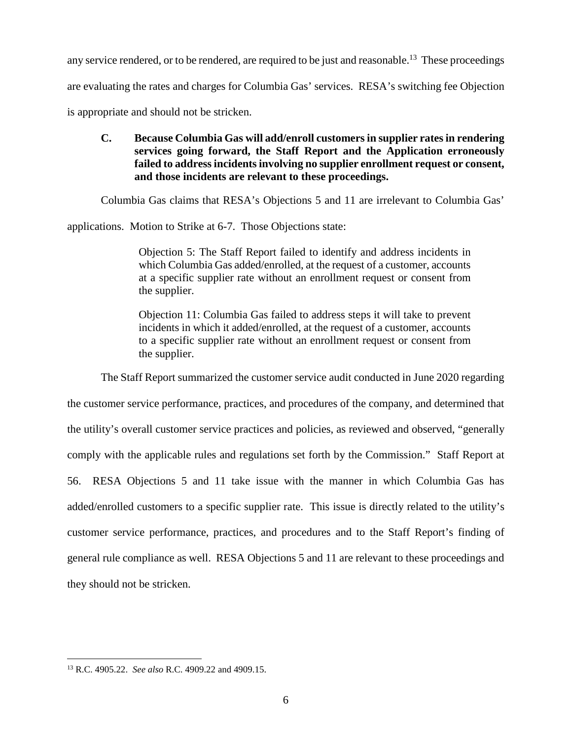any service rendered, or to be rendered, are required to be just and reasonable.<sup>13</sup> These proceedings are evaluating the rates and charges for Columbia Gas' services. RESA's switching fee Objection is appropriate and should not be stricken.

### **C. Because Columbia Gas will add/enroll customers in supplier rates in rendering services going forward, the Staff Report and the Application erroneously failed to address incidents involving no supplier enrollment request or consent, and those incidents are relevant to these proceedings.**

Columbia Gas claims that RESA's Objections 5 and 11 are irrelevant to Columbia Gas'

applications. Motion to Strike at 6-7. Those Objections state:

Objection 5: The Staff Report failed to identify and address incidents in which Columbia Gas added/enrolled, at the request of a customer, accounts at a specific supplier rate without an enrollment request or consent from the supplier.

Objection 11: Columbia Gas failed to address steps it will take to prevent incidents in which it added/enrolled, at the request of a customer, accounts to a specific supplier rate without an enrollment request or consent from the supplier.

The Staff Report summarized the customer service audit conducted in June 2020 regarding

the customer service performance, practices, and procedures of the company, and determined that the utility's overall customer service practices and policies, as reviewed and observed, "generally comply with the applicable rules and regulations set forth by the Commission." Staff Report at 56. RESA Objections 5 and 11 take issue with the manner in which Columbia Gas has added/enrolled customers to a specific supplier rate. This issue is directly related to the utility's customer service performance, practices, and procedures and to the Staff Report's finding of general rule compliance as well. RESA Objections 5 and 11 are relevant to these proceedings and they should not be stricken.

<sup>13</sup> R.C. 4905.22. *See also* R.C. 4909.22 and 4909.15.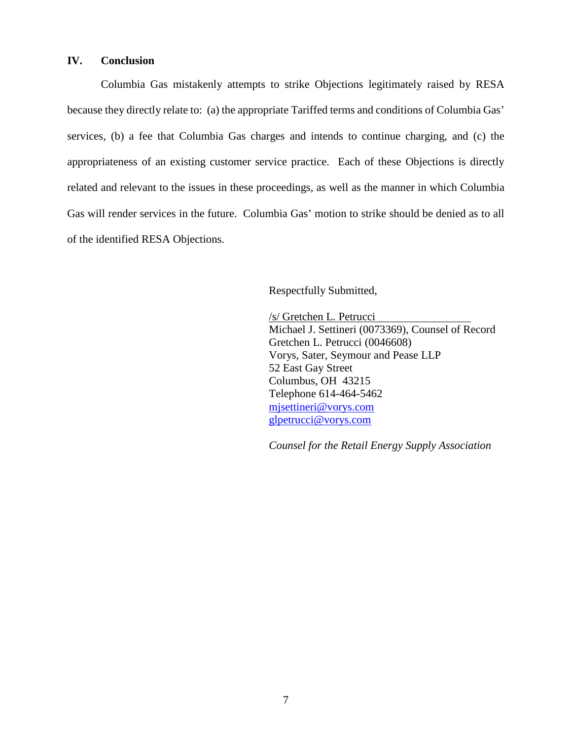#### **IV. Conclusion**

Columbia Gas mistakenly attempts to strike Objections legitimately raised by RESA because they directly relate to: (a) the appropriate Tariffed terms and conditions of Columbia Gas' services, (b) a fee that Columbia Gas charges and intends to continue charging, and (c) the appropriateness of an existing customer service practice. Each of these Objections is directly related and relevant to the issues in these proceedings, as well as the manner in which Columbia Gas will render services in the future. Columbia Gas' motion to strike should be denied as to all of the identified RESA Objections.

Respectfully Submitted,

/s/ Gretchen L. Petrucci Michael J. Settineri (0073369), Counsel of Record Gretchen L. Petrucci (0046608) Vorys, Sater, Seymour and Pease LLP 52 East Gay Street Columbus, OH 43215 Telephone 614-464-5462 mjsettineri@vorys.com glpetrucci@vorys.com

*Counsel for the Retail Energy Supply Association*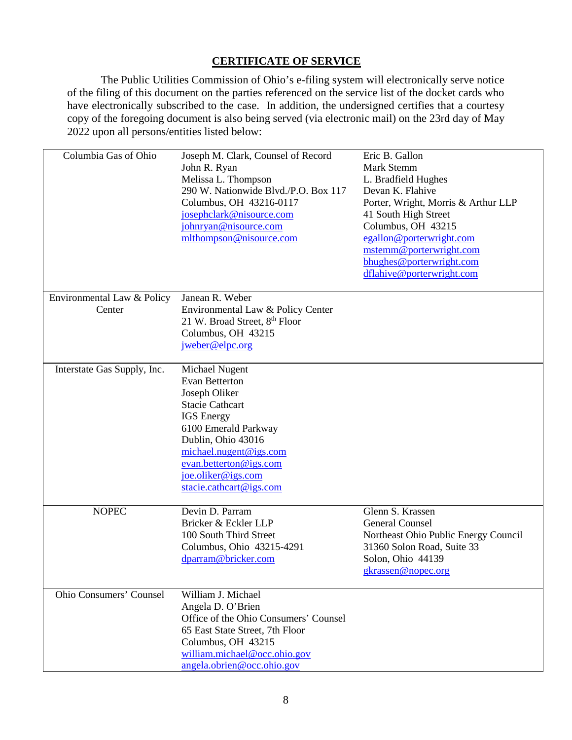## **CERTIFICATE OF SERVICE**

The Public Utilities Commission of Ohio's e-filing system will electronically serve notice of the filing of this document on the parties referenced on the service list of the docket cards who have electronically subscribed to the case. In addition, the undersigned certifies that a courtesy copy of the foregoing document is also being served (via electronic mail) on the 23rd day of May 2022 upon all persons/entities listed below:

| Columbia Gas of Ohio                 | Joseph M. Clark, Counsel of Record<br>John R. Ryan<br>Melissa L. Thompson<br>290 W. Nationwide Blvd./P.O. Box 117<br>Columbus, OH 43216-0117<br>josephclark@nisource.com<br>johnryan@nisource.com<br>mlthompson@nisource.com                               | Eric B. Gallon<br>Mark Stemm<br>L. Bradfield Hughes<br>Devan K. Flahive<br>Porter, Wright, Morris & Arthur LLP<br>41 South High Street<br>Columbus, OH 43215<br>egallon@porterwright.com<br>mstemm@porterwright.com<br>bhughes@porterwright.com<br>dflahive@porterwright.com |
|--------------------------------------|------------------------------------------------------------------------------------------------------------------------------------------------------------------------------------------------------------------------------------------------------------|------------------------------------------------------------------------------------------------------------------------------------------------------------------------------------------------------------------------------------------------------------------------------|
| Environmental Law & Policy<br>Center | Janean R. Weber<br>Environmental Law & Policy Center<br>21 W. Broad Street, 8th Floor<br>Columbus, OH 43215<br>jweber@elpc.org                                                                                                                             |                                                                                                                                                                                                                                                                              |
| Interstate Gas Supply, Inc.          | Michael Nugent<br><b>Evan Betterton</b><br>Joseph Oliker<br><b>Stacie Cathcart</b><br><b>IGS</b> Energy<br>6100 Emerald Parkway<br>Dublin, Ohio 43016<br>michael.nugent@igs.com<br>evan.betterton@igs.com<br>joe.oliker@igs.com<br>stacie.cathcart@igs.com |                                                                                                                                                                                                                                                                              |
| <b>NOPEC</b>                         | Devin D. Parram<br>Bricker & Eckler LLP<br>100 South Third Street<br>Columbus, Ohio 43215-4291<br>dparram@bricker.com                                                                                                                                      | Glenn S. Krassen<br><b>General Counsel</b><br>Northeast Ohio Public Energy Council<br>31360 Solon Road, Suite 33<br>Solon, Ohio 44139<br>gkrassen@nopec.org                                                                                                                  |
| Ohio Consumers' Counsel              | William J. Michael<br>Angela D. O'Brien<br>Office of the Ohio Consumers' Counsel<br>65 East State Street, 7th Floor<br>Columbus, OH 43215<br>william.michael@occ.ohio.gov<br>angela.obrien@occ.ohio.gov                                                    |                                                                                                                                                                                                                                                                              |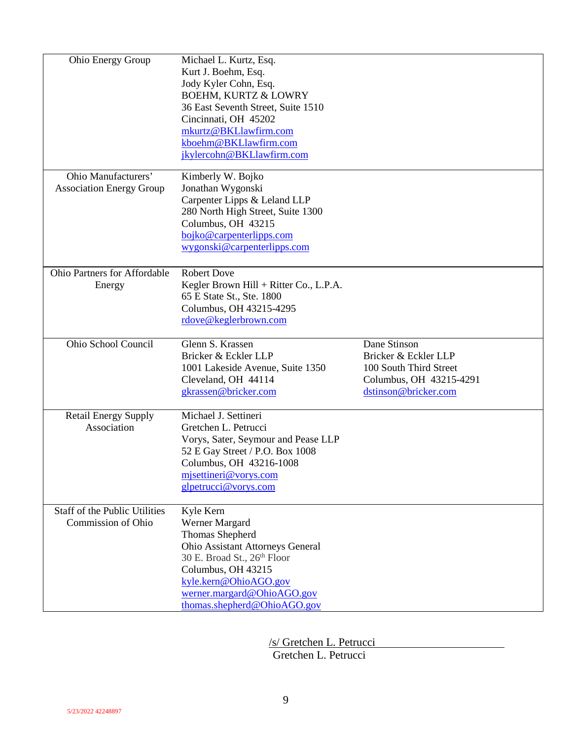| Ohio Energy Group                                          | Michael L. Kurtz, Esq.<br>Kurt J. Boehm, Esq.<br>Jody Kyler Cohn, Esq.<br><b>BOEHM, KURTZ &amp; LOWRY</b><br>36 East Seventh Street, Suite 1510<br>Cincinnati, OH 45202<br>mkurtz@BKLlawfirm.com<br>kboehm@BKLlawfirm.com<br>jkylercohn@BKLlawfirm.com |                                                                                                                   |
|------------------------------------------------------------|--------------------------------------------------------------------------------------------------------------------------------------------------------------------------------------------------------------------------------------------------------|-------------------------------------------------------------------------------------------------------------------|
| Ohio Manufacturers'<br><b>Association Energy Group</b>     | Kimberly W. Bojko<br>Jonathan Wygonski<br>Carpenter Lipps & Leland LLP<br>280 North High Street, Suite 1300<br>Columbus, OH 43215<br>bojko@carpenterlipps.com<br>wygonski@carpenterlipps.com                                                           |                                                                                                                   |
| Ohio Partners for Affordable<br>Energy                     | <b>Robert Dove</b><br>Kegler Brown Hill + Ritter Co., L.P.A.<br>65 E State St., Ste. 1800<br>Columbus, OH 43215-4295<br>rdove@keglerbrown.com                                                                                                          |                                                                                                                   |
| Ohio School Council                                        | Glenn S. Krassen<br>Bricker & Eckler LLP<br>1001 Lakeside Avenue, Suite 1350<br>Cleveland, OH 44114<br>gkrassen@bricker.com                                                                                                                            | Dane Stinson<br>Bricker & Eckler LLP<br>100 South Third Street<br>Columbus, OH 43215-4291<br>dstinson@bricker.com |
| <b>Retail Energy Supply</b><br>Association                 | Michael J. Settineri<br>Gretchen L. Petrucci<br>Vorys, Sater, Seymour and Pease LLP<br>52 E Gay Street / P.O. Box 1008<br>Columbus, OH 43216-1008<br>mjsettineri@vorys.com<br>glpetrucci@vorys.com                                                     |                                                                                                                   |
| <b>Staff of the Public Utilities</b><br>Commission of Ohio | Kyle Kern<br>Werner Margard<br>Thomas Shepherd<br><b>Ohio Assistant Attorneys General</b><br>30 E. Broad St., 26th Floor<br>Columbus, OH 43215<br>kyle.kern@OhioAGO.gov<br>werner.margard@OhioAGO.gov<br>thomas.shepherd@OhioAGO.gov                   |                                                                                                                   |

/s/ Gretchen L. Petrucci Gretchen L. Petrucci